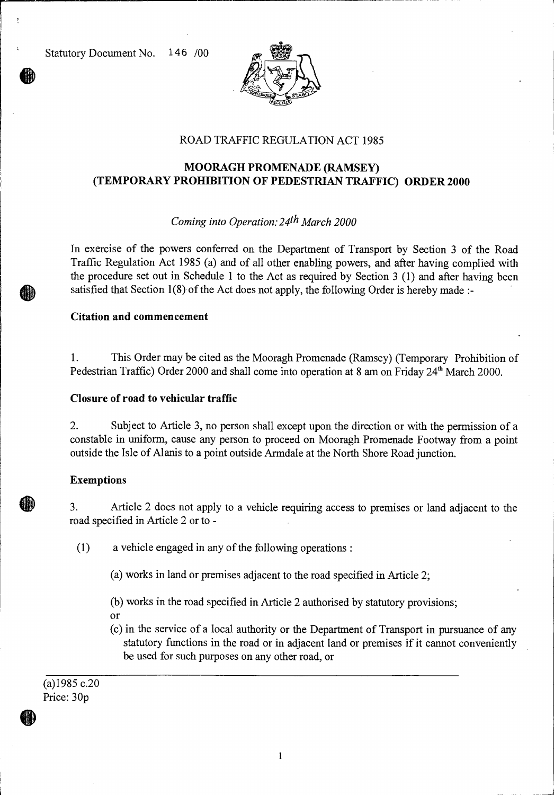Statutory Document No. 1 46 /00



## ROAD TRAFFIC REGULATION ACT 1985

# **MOORAGH PROMENADE (RAMSEY) (TEMPORARY PROHIBITION OF PEDESTRIAN TRAFFIC) ORDER 2000**

## *Coming into Operation: 24th March 2000*

In exercise of the powers conferred on the Department of Transport by Section 3 of the Road Traffic Regulation Act 1985 (a) and of all other enabling powers, and after having complied with the procedure set out in Schedule 1 to the Act as required by Section 3 (1) and after having been satisfied that Section 1(8) of the Act does not apply, the following Order is hereby made :-

### **Citation and commencement**

1. This Order may be cited as the Mooragh Promenade (Ramsey) (Temporary Prohibition of Pedestrian Traffic) Order 2000 and shall come into operation at 8 am on Friday 24<sup>th</sup> March 2000.

### **Closure of road to vehicular traffic**

2. Subject to Article 3, no person shall except upon the direction or with the permission of a constable in uniform, cause any person to proceed on Mooragh Promenade Footway from a point outside the Isle of Alanis to a point outside Armdale at the North Shore Road junction.

### **Exemptions**

3. Article 2 does not apply to a vehicle requiring access to premises or land adjacent to the road specified in Article 2 or to -

(1) a vehicle engaged in any of the following operations :

(a) works in land or premises adjacent to the road specified in Article 2;

(b) works in the road specified in Article 2 authorised by statutory provisions;

or

(c) in the service of a local authority or the Department of Transport in pursuance of any statutory functions in the road or in adjacent land or premises if it cannot conveniently be used for such purposes on any other road, or

(a)1985 c.20 Price: 30p